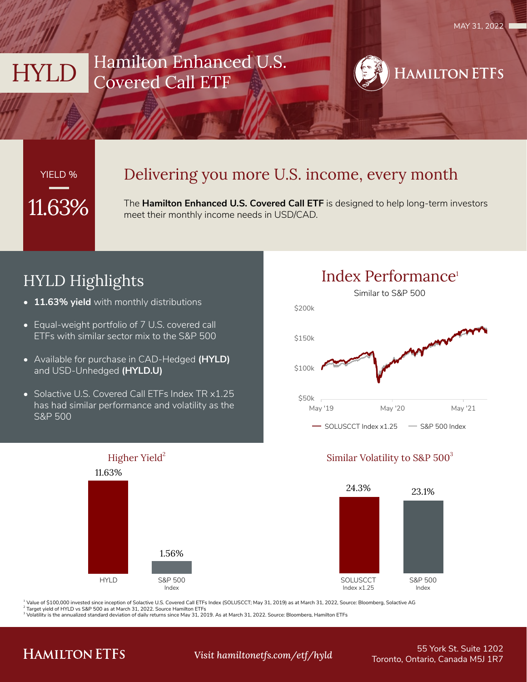

# YIELD %

### Delivering you more U.S. income, every month

**11.63%** The **Hamilton Enhanced U.S. Covered Call ETF** is designed to help long-term investors meet their monthly income needs in USD/CAD.

# HYLD Highlights

- **• 11.63% yield** with monthly distributions
- Equal-weight portfolio of 7 U.S. covered call ETFs with similar sector mix to the S&P 500
- Available for purchase in CAD-Hedged **(HYLD)**  and USD-Unhedged **(HYLD.U)**
- Solactive U.S. Covered Call ETFs Index TR x1.25 has had similar performance and volatility as the S&P 500





### Higher Yield<sup>2</sup> Similar Volatility to S&P  $500^3$



<sup>1</sup> Value of \$100,000 invested since inception of Solactive U.S. Covered Call ETFs Index (SOLUSCCT; May 31, 2019) as at March 31, 2022, Source: Bloomberg, Solactive AG

<sup>2</sup> Target yield of HYLD vs S&P 500 as at March 31, 2022. Source Hamilton ETFs<br><sup>3</sup> Volatility is the annualized standard deviation of daily returns since May 31, 2019. As at March 31, 2022. Source: Bloomberg, Hamilton ETFs

## **HAMILTON ETFS**

55 York St. Suite 1202 Toronto, Ontario, Canada M5J 1R7 *Visit hamiltonetfs.com/etf/hyld*